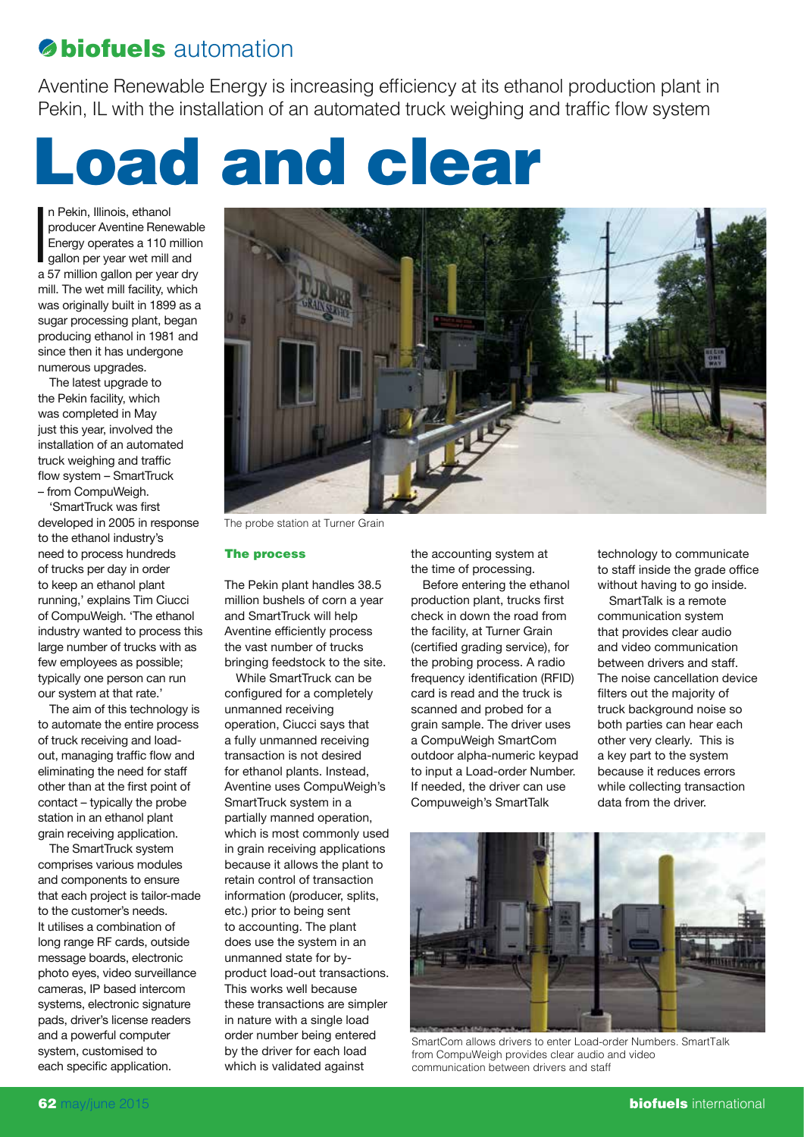## **biofuels** automation

Aventine Renewable Energy is increasing efficiency at its ethanol production plant in Pekin, IL with the installation of an automated truck weighing and traffic flow system

## Load and clear

n Pekin, Illinois, ethanol<br>producer Aventine Renewable<br>Energy operates a 110 million<br>gallon per year wet mill and<br>a 57 million gallon per year dry n Pekin, Illinois, ethanol producer Aventine Renewable Energy operates a 110 million gallon per year wet mill and mill. The wet mill facility, which was originally built in 1899 as a sugar processing plant, began producing ethanol in 1981 and since then it has undergone numerous upgrades.

The latest upgrade to the Pekin facility, which was completed in May just this year, involved the installation of an automated truck weighing and traffic flow system – SmartTruck – from CompuWeigh.

'SmartTruck was first developed in 2005 in response to the ethanol industry's need to process hundreds of trucks per day in order to keep an ethanol plant running,' explains Tim Ciucci of CompuWeigh. 'The ethanol industry wanted to process this large number of trucks with as few employees as possible; typically one person can run our system at that rate.'

The aim of this technology is to automate the entire process of truck receiving and loadout, managing traffic flow and eliminating the need for staff other than at the first point of contact – typically the probe station in an ethanol plant grain receiving application.

The SmartTruck system comprises various modules and components to ensure that each project is tailor-made to the customer's needs. It utilises a combination of long range RF cards, outside message boards, electronic photo eyes, video surveillance cameras, IP based intercom systems, electronic signature pads, driver's license readers and a powerful computer system, customised to each specific application.



The probe station at Turner Grain

## The process

The Pekin plant handles 38.5 million bushels of corn a year and SmartTruck will help Aventine efficiently process the vast number of trucks bringing feedstock to the site.

While SmartTruck can be configured for a completely unmanned receiving operation, Ciucci says that a fully unmanned receiving transaction is not desired for ethanol plants. Instead, Aventine uses CompuWeigh's SmartTruck system in a partially manned operation, which is most commonly used in grain receiving applications because it allows the plant to retain control of transaction information (producer, splits, etc.) prior to being sent to accounting. The plant does use the system in an unmanned state for byproduct load-out transactions. This works well because these transactions are simpler in nature with a single load order number being entered by the driver for each load which is validated against

the accounting system at the time of processing.

Before entering the ethanol production plant, trucks first check in down the road from the facility, at Turner Grain (certified grading service), for the probing process. A radio frequency identification (RFID) card is read and the truck is scanned and probed for a grain sample. The driver uses a CompuWeigh SmartCom outdoor alpha-numeric keypad to input a Load-order Number. If needed, the driver can use Compuweigh's SmartTalk

technology to communicate to staff inside the grade office without having to go inside.

SmartTalk is a remote communication system that provides clear audio and video communication between drivers and staff. The noise cancellation device filters out the majority of truck background noise so both parties can hear each other very clearly. This is a key part to the system because it reduces errors while collecting transaction data from the driver.



SmartCom allows drivers to enter Load-order Numbers. SmartTalk from CompuWeigh provides clear audio and video communication between drivers and staff